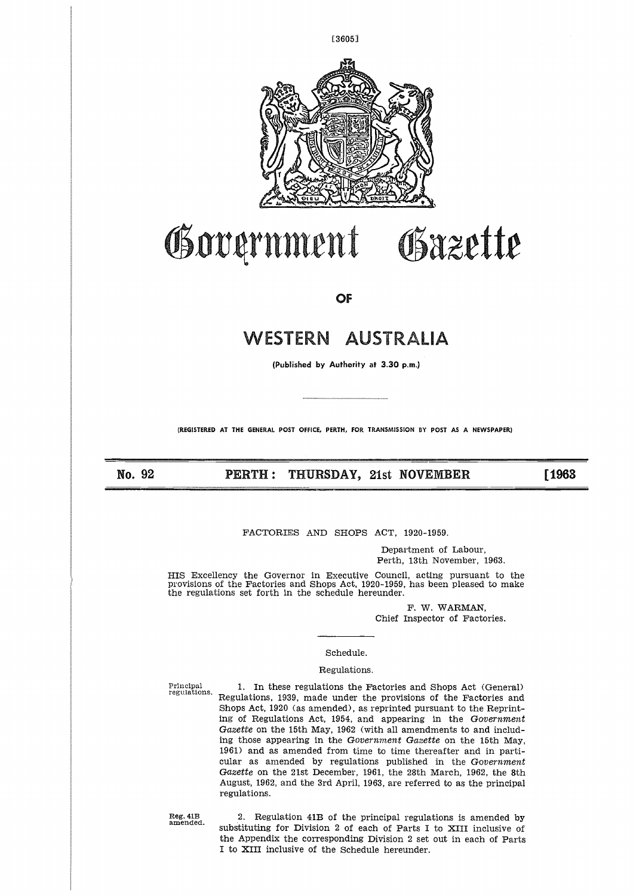

# Government Osazette

**OF** 

# WESTERN AUSTRALIA

**(Published by Authority at 3.30 p.m.)**

**(REGISTERED AT THE GENERAL POST OFFICE, PERTH, FOR TRANSMISSION BY POST AS A NEWSPAPER)**

**No. 92 PERTH : THURSDAY, 21st NOVEMBER**

**[1963** 

FACTORIES AND SHOPS ACT, 1920-1959.

Department of Labour, Perth, 13th November, 1963.

HIS Excellency the Governor in Executive Council, acting pursuant to the provisions of the Factories and Shops Act, 1920-1959, has been pleased to make the regulations set forth in the schedule hereunder.

F. W. WARMAN, Chief Inspector of Factories.

## Schedule.

## Regulations.

Principal regulations. 1. In these regulations the Factories and Shops Act (General) Regulations, 1939, made under the provisions of the Factories and Shops Act, 1920 (as amended), as reprinted pursuant to the Reprinting of Regulations Act, 1954, and appearing in the *Government Gazette* on the 15th May, 1962 (with all amendments to and including those appearing in the *Government Gazette* on the 15th May, 1961) and as amended from time to time thereafter and in particular as amended by regulations published in the *Government Gazette* on the 21st December, 1961, the 28th March, 1962, the 8th August, 1962, and the 3rd April, 1963, are referred to as the principal regulations.

Reg. 41B amended. 2. Regulation 41B of the principal regulations is amended by substituting for Division 2 of each of Parts I to XIII inclusive of the Appendix the corresponding Division 2 set out in each of Parts I to XIII inclusive of the Schedule hereunder.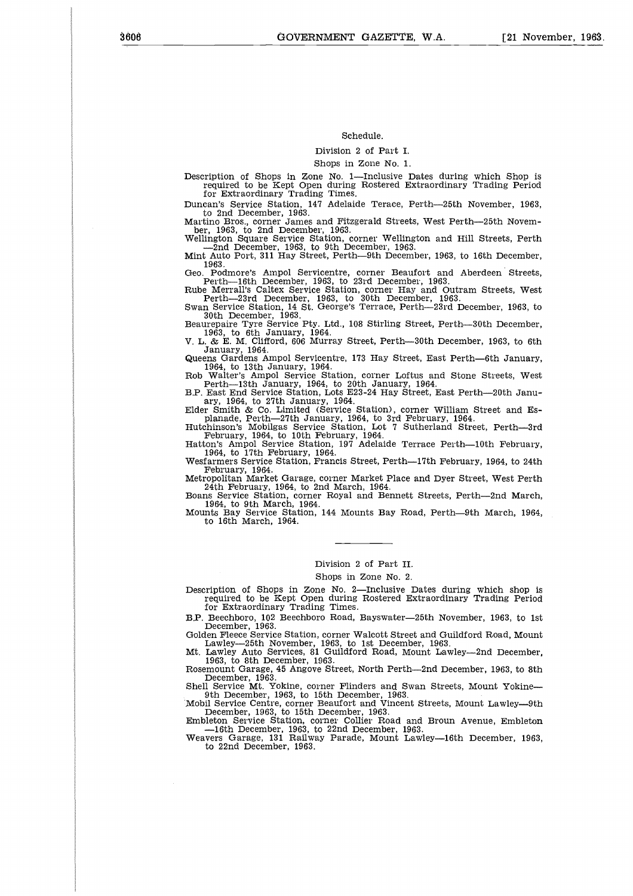## Schedule.

Division 2 of Part I.

Shops in Zone No. 1.

Description of Shops in Zone No. 1—Inclusive Dates during which Shop is required to be Kept Open during Rostered Extraordinary Trading Period for Extraordinary Trading Times.

Duncan's Service Station, 14'7 Adelaide Terace, Perth-25th November, 1963,

to 2nd December, 1963. Martino Bros., corner James and Fitzgerald Streets, West Perth-25th Novem-

ber, 1963, to 2nd December, 1963. Wellington Square Service Station, corner Wellington and Hill Streets, Perth —2nd December, 1963, to 9th December, 1963. Mint Auto Port, 311 Hay Street, Perth-9th December, 1963, to 16th December,

1963. Geo. Podmore's Ampol Servicentre, corner Beaufort, and Aberdeen Streets, Perth-16th December, 1963, to 23rd December, 1963. Rube Merrall's Caltex Service Station, corner Hay and Outram Streets, West

Perth-23rd December, 1963, to 30th December, 1963. Swan Service Station, 14 St. George's Terrace, Perth-23rd December, 1963, to

30th December, 1963. Beaurepaire Tyre Service Pty. Ltd., 108 Stirling Street, Perth-30th December,

1963, to 6th January, 1964. V. L. & E. M. Clifford, 606 Murray Street, Perth-30th December, 1963, to 6th January, 1964. Queens Gardens Ampol Servicentre, 173 Hay Street, East Perth-6th January,

1964, to 13th January, 1964. Rob Walter's Ampol Service Station, corner Loftus and Stone Streets, West Perth-13th January, 1964, to 20th January, 1964.

B.P. East End Service Station, Lots E23-24 Hay Street, East Perth-20th Janu-ary, 1964, to 27th January, 1964. Elder Smith & Co. Limited (Service Station), corner William Street and Es-

planade, Perth—27th January, 1964, to 3rd February, 1964.<br>Hutchinson's Mobilgas Service Station, Lot 7 Sutherland Street, Perth—3rd<br>February, 1964, to 10th February, 1964.<br>Haton's Ampol Service Station, 197 Adelaide Terrac

February, 1964. Metropolitan Market Garage, corner Market Place and Dyer Street, West Perth 24th February, 1964, to 2nd March, 1964. Boans Service Station, corner Royal and Bennett Streets, Perth-2nd March,

1964, to 9th March, 1964. Mounts Bay Service Station, 144 Mounts Bay Road, Perth-9th March, 1964, to 16th March, 1964.

## Division 2 of Part II.

Shops in Zone No. 2.

Description of Shops in Zone No. 2—Inclusive Dates during which shop is required to be Kept Open during Rostered Extraordinary Trading Period for Extraordinary Trading Times.

B.P. Beechboro, 102 Beechboro Road, Bayswater—25th November, 1963, to 1st<br>December, 1963.<br>Golden Fleece Service Station, corner Walcott Street and Guildford Road, Mount<br>Lawley—25th November, 1963, to 1st December, 1963.<br>Mt

Rosemount Garage, 45 Angove Street, North Perth-2nd December, 1963, to 8th

December, 1963.<br>Shell Service Mt. Yokine, corner Flinders and Swan Streets, Mount Yokine—<br>9th December, 1963, to 15th December, 1963.<br>Mobil Service Centre, corner Beaufort and Vincent Streets, Mount Lawley—9th<br>December, 19

—16th December, 1963, to 22nd December, 1963. Weavers Garage, 131 Railway Parade, Mount Lawley-16th December, 1963, to 22nd December, 1963.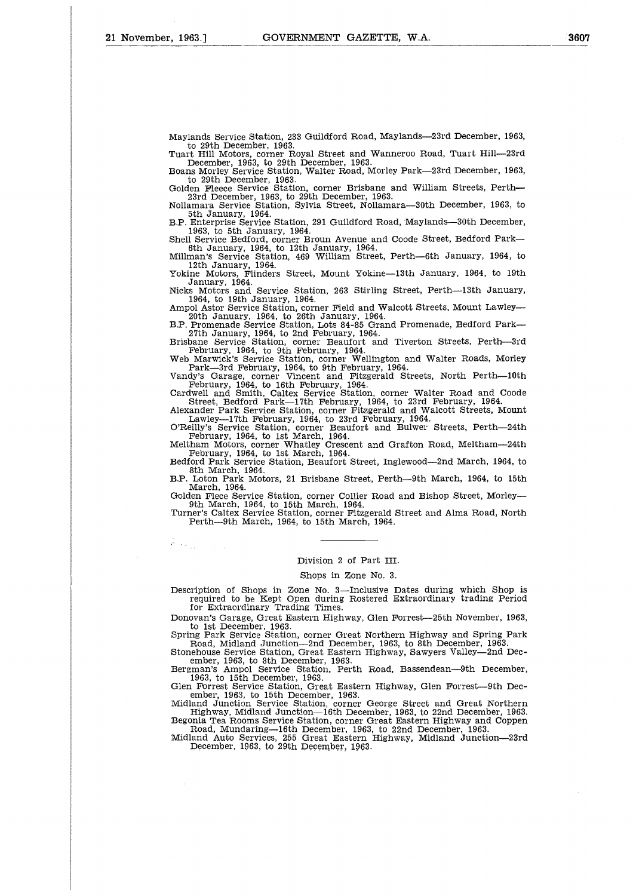ka p

Maylands Service Station, 233 Guildford Road, Maylands-23rd December, 1963, to 29th December, 1963.

Tuart Hill Motors, corner Royal Street and Wanneroo Road, Tuart Hill-23rd December, 1963, to 29th December, 1963. Boans Morley Service Station, Walter Road, Morley Park-23rd December, 1963,

to 29th December, 1963. Golden Fleece Service Station, corner Brisbane and William Streets, Perth-

23rd December, 1963, to 29th December, 1963. Nollamara Service Station, Sylvia Street, Nollamara-30th December, 1963, to

5th January, 1964. B.P. Enterprise Service Station, 291 Guildford Road, Maylands-30th December, 1963, to 5th January, 1964.

Shell Service Bedford, corner Broun Avenue and Coode Street, Bedford Park-

6th January, 1964, to 12th January, 1964. Millman's Service Station, 469 William Street, Perth-6th January, 1964, to 12th January, 1964. Yokine Motors, Flinders Street, Mount Yokine-13th January, 1964, to 19th

January, 1964. Nicks Motors and Service Station, 263 Stirling Street, Perth-13th January, 1964, to 19th January, 1964. Ampol Astor Service Station, corner Field and Walcott Streets, Mount Lawley-

20th January, 1964, to 26th January, 1964. B.P. Promenade Service Station, Lots 84-85 Grand Promenade, Bedford Park-

27th January, 1964, to 2nd February, 1964.<br>Brisbane Service Station, corner Beaufort and Tiverton Streets, Perth—3rd<br>February, 1964, to 9th February, 1964.<br>Web Marwick's Service Station, corner Wellington and Walter Roads,

Park-3rd February, 1964, to 9th February, 1964. Vandy's Garage, corner Vincent and Fitzgerald Streets, North Perth-10th

February, 1964, to 16th February, 1964. Cardwell and Smith, Caltex Service Station, corner Walter Road and Coode

Street, Bedford Park-17th February, 1964, to 23rd February, 1964. Alexander Park Service Station, corner Fitzgerald and Walcott Streets, Mount

Lawley—17th February, 1964, to 23rd February, 1964.<br>O'Reilly's Service Station, corner Beaufort and Bulwer Streets, Perth—24th<br>February, 1964, to 1st March, 1964.<br>Meltham Motors, corner Whatley Crescent and Grafton Road, M

February, 1964, to 1st March, 1964. Bedford Park Service Station, Beaufort Street, Inglewood-2nd March, 1964, to 8th March, 1964.

B.P. Loton Park Motors, 21 Brisbane Street, Perth-9th March, 1964, to 15th March, 1964.

Golden Flece Service Station, corner Collier Road and Bishop Street, Morley-9th March, 1964, to 15th March, 1964. Turner's Caltex Service Station, corner Fitzgerald Street and Alma Road, North

Perth-9th March, 1964, to 15th March, 1964.

#### Division 2 of Part III.

#### Shops in Zone No. 3.

Description of Shops in Zone No. 3—Inclusive Dates during which Shop is required to be Kept Open during Rostered Extraordinary trading Period for Extraordinary Trading Times.

Donovan's Garage, Great Eastern Highway, Glen Forrest-25th November, 1963,

to 1st December, 1963. Spring Park Service Station, corner Great Northern Highway and Spring Park Road, Midland Junction-2nd December, 1963, to 8th December, 1963. Stonehouse Service Station, Great Eastern Highway, Sawyers Valley-2nd Dec-

ember, 1963, to 8th December, 1963.<br>Bergman's Ampol Service Station. Per Ampol Service Station, Perth Road, Bassendean-9th December,

1963, to 15th December, 1963. Glen Forrest Service Station, Great Eastern Highway, Glen Forrest-9th Dec-

ember, 1963, to 15th December, 1963. Midland Junction Service Station, corner George Street and Great Northern Highway, Midland Junction-16th December, 1963, to 22nd December, 1963. Begonia Tea Rooms Service Station, corner Great Eastern Highway and Coppen

Road, Mundaring-16th December, 1963, to 22nd December, 1963. Midland Auto Services, 255 Great Eastern Highway, Midland Junction-23rd December, 1963, to 29th December, 1963.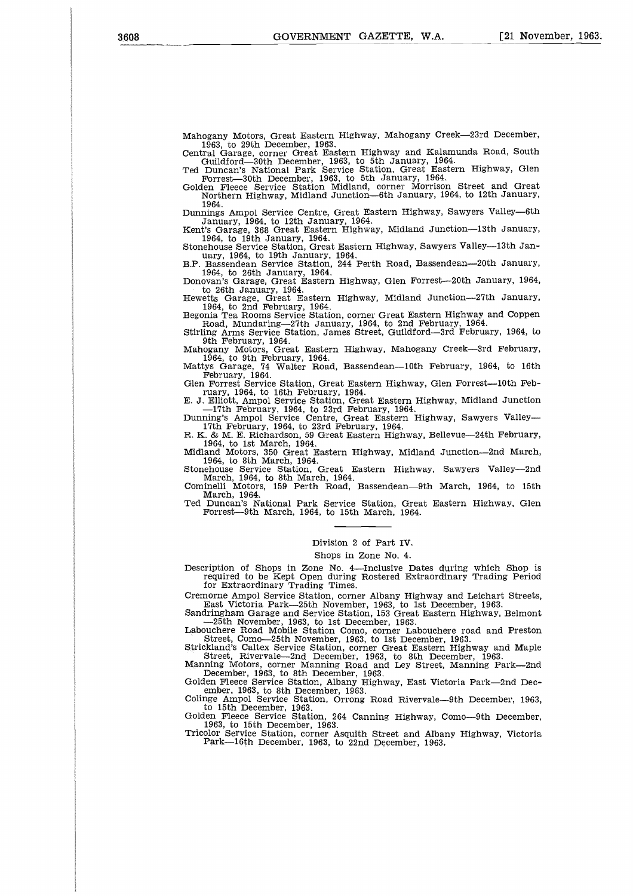Mahogany Motors, Great Eastern Highway, Mahogany Creek-23rd December,

1963, to 29th December, 1963.<br>Central Garage, corner Great Eastern Highway and Kalamunda Road, South<br>Guildford—30th December, 1963, to 5th January, 1964.<br>Ted Duncan's National Park Service Station, Great Eastern Highway, G

Forrest-30th December, 1963, to 5th January, 1964. Golden Fleece Service Station Midland, corner Morrison Street and Great Northern Highway, Midland Junction-6th January, 1964, to 12th January,

1964.

Dunnings Ampol Service Centre, Great Eastern Highway, Sawyers Valley-6th January, 1964, to 12th January, 1964. Kent's Garage, 368 Great Eastern Highway, Midland Junction-13th January,

1964, to 19th January, 1964. Stonehouse Service Station, Great Eastern Highway, Sawyers Valley-13th Jan-

uary, 1964, to 19th January, 1964. B.P. Bassendean Service Station, 244 Perth Road, Bassendean-20th January,

1964, to 26th January, 1964. Donovan's Garage, Great Eastern Highway, Glen Forrest-20th January, 1964,

to 26th January, 1964.

Hewetts Garage, Great Eastern Highway, Midland Junction-27th January,

1964, to 2nd February, 1964. Begonia Tea Rooms Service Station, corner Great Eastern Highway and Coppen Road, Mundaring-27th January, 1964, to 2nd February, 1964. Stirling Arms Service Station, James Street, Guildford-3rd February, 1964, to

9th February, 1964. Mahogany Motors, Great Eastern Highway, Mahogany Creek-3rd February,

1964, to 9th February, 1964. Mattys Garage, 74 Walter Road, Bassendean-10th February, 1964, to 16th February, 1964. Glen Forrest Service Station, Great Eastern Highway, Glen Forrest-10th Feb-

ruary, 1964, to 16th February, 1964.<br>E. J. Elliott, Ampol Service Station, Great Eastern Highway, Midland Junction<br>—17th February, 1964, to 23rd February, 1964.<br>Dunning's Ampol Service Centre, Great Eastern Highway, Sawyer

R. K. & M. E. Richardson, 59 Great Eastern Highway, Bellevue-24th February, 1964, to 1st March, 1964. Midland Motors, 350 Great Eastern Highway, Midland Junction-2nd March, 1964, to 8th March, 1964.

Stonehouse Service Station, Great Eastern Highway, Sawyers Valley-2nd March, 1964, to 8th March, 1964. Cominelli Motors, 159 Perth Road, Bassendean-9th March, 1964, to 15th

March, 1964.

Ted Duncan's National Park Service Station, Great Eastern Highway, Glen Forrest-9th March, 1964, to 15th March, 1964.

#### Division 2 of Part IV.

#### Shops in Zone No. 4.

Description of Shops in Zone No. 4—Inclusive Dates during which Shop is required to be Kept Open during Rostered Extraordinary Trading Period for Extraordinary Trading Times.

Cremorne Ampol Service Station, corner Albany Highway and Leichart Streets, East Victoria Park-25th November, 1963, to 1st December, 1963.

Sandringham Garage and Service Station, 153 Great Eastern Highway, Belmont

—25th November, 1963, to 1st December, 1963. Labouchere Road Mobile Station Como, corner Labouchere road and Preston

Street, Como-25th November, 1963, to 1st December, 1963. Strickland's Caltex Service Station, corner Great Eastern Highway and Maple Street, Rivervale-2nd December, 1963, to 8th December, 1963.

Manning Motors, corner Manning Road and Ley Street, Manning Park-2nd December, 1963, to 8th December, 1963. Golden Fleece Service Station, Albany Highway, East Victoria Park-2nd Dec-ember, 1963, to 8th December, 1963.

Colinge Ampol Service Station, Orrong Road Rivervale-9th December, 1963, to 15th December, 1963. Golden Fleece Service Station, 264 Canning Highway, Como-9th December,

1963, to 15th December, 1963.

Tricolor Service Station, corner Asquith Street and Albany Highway, Victoria Park-16th December, 1963, to 22nd December, 1963.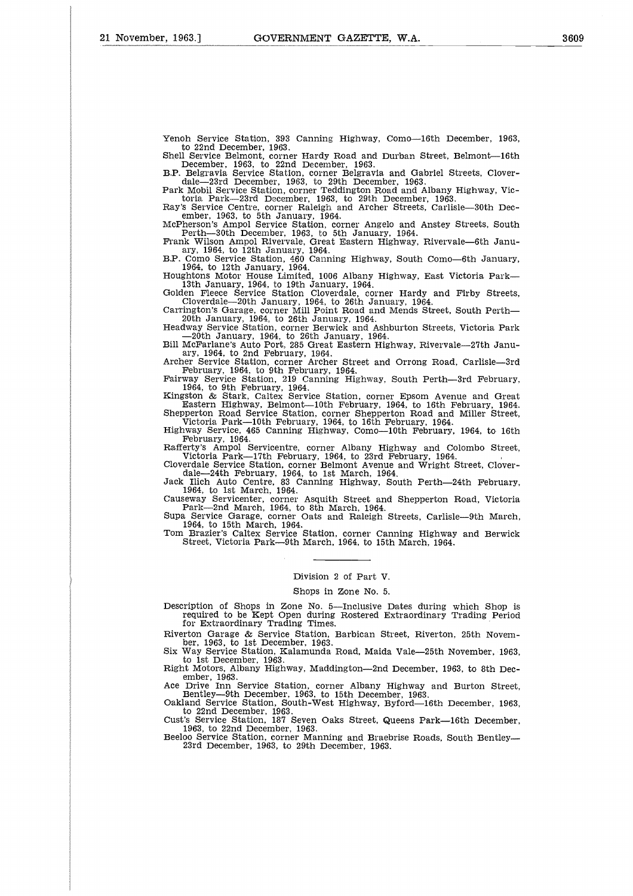Yenoh Service Station, 393 Canning Highway, Como-16th December, 1963 to 22nd December, 1963.

Shell Service Belmont, corner Hardy Road and Durban Street, Belmont--16th December, 1963, to 22nd December, 1963. B.P. Belgravia Service Station, corner Belgravia and Gabriel Streets, Clover-

dale—23rd December, 1963, to 29th December, 1963.<br>Park Mobil Service Station, corner Teddington Road and Albany Highway, Victoria Park—23rd December, 1963, to 29th December, 1963.<br>Ray's Service Centre, corner Raleigh and A

ember, 1963, to 5th January, 1964. McPherson's Ampol Service Station, corner Angelo and Anstey Streets, South Perth-30th December, 1963, to 5th January, 1964.

Frank Wilson Ampol Rivervale, Great Eastern Highway, Rivervale—6th January, 1964, to 12th January, 1964.<br>B.P. Como Service Station, 460 Canning Highway, South Como—6th January, 1964, to 12th January, 1964.<br>Houghtons Motor

—20th January, 1964, to 26th January, 1964.<br>Bill McFarlane's Auto Port, 285 Great Eastern Highway, Rivervale—27th January, 1964, to 2nd February, 1964.<br>ary, 1964, to 2nd February, 1964.<br>Archer Service Station, corner Arche

Fairway Service Station, 219 Canning Highway, South Perth-3rd February, 1964, to 9th February, 1964. Kingston & Stark, Caltex Service Station, corner Epsom Avenue and Great

Eastern Highway, Belmont-10th February, 1964, to 16th February, 1964. Shepperton Road Service Station, corner Shepperton Road and Miller Street,

Victoria Park-10th February, 1964, to 16th February, 1964. Highway Service, 465 Canning Highway, Como-10th February, 1964, to 16th

February, 1964. Rafferty's Ampol Servicentre, corner Albany Highway and Colombo Street,

Victoria Park-17th February, 1964, to 23rd February, 1964.

Cloverdale Service Station, corner Belmont Avenue and Wright Street, Clover-<br>dale—24th February, 1964, to 1st March, 1964.<br>Jack Ilich Auto Centre, 83 Canning Highway, South Perth—24th February,<br>1964, to 1st March, 1964.<br>Ca

Supa Service Garage, corner Oats and Raleigh Streets, Carlisle-9th March,

1964, to 15th March, 1964. Tom Brazier's Caltex Service Station, corner Canning Highway and Berwick Street, Victoria Park-9th March, 1964, to 15th March, 1964.

## Division 2 of Part V.

## Shops in Zone No. 5.

Description of Shops in Zone No. 5—Inclusive Dates during which Shop is required to be Kept Open during Rostered Extraordinary Trading Period for Extraordinary Trading Times.

Riverton Garage & Service Station, Barbican Street, Riverton, 25th November, 1963, to 1st December, 1963.

Six Way Service Station, Kalamunda Road, Maida Vale-25th November, 1963, to 1st December, 1963. Right Motors, Albany Highway, Maddington-2nd December, 1963, to 8th Dec-

ember, 1963.<br>Ace Drive Inn Service Station.

Ace Drive Inn Service Station, corner Albany Highway and Burton Street, Bentley-9th December, 1963, to 15th December, 1963. Oakland Service Station, South-West Highway, Byford-16th December, 1963,

to 22nd December, 1963. Cust's Service Station, 187 Seven Oaks Street, Queens Park-16th December,

1963, to 22nd December, 1963.

Beeloo Service Station, corner Manning and Braebrise Roads, South Bentley-23rd December, 1963, to 29th December, 1963.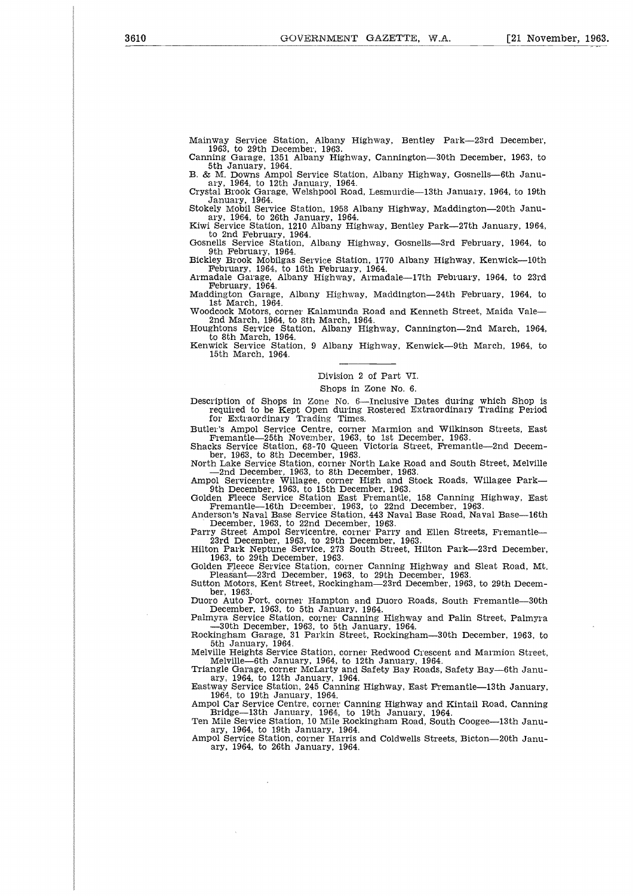Mainway Service Station, Albany Highway, Bentley Park-23rd December, 1963, to 29th December, 1963. Canning Garage, 1351 Albany Highway, Cannington-30th December, 1963, to

5th January, 1964. B. & M. Downs Ampol Service Station, Albany Highway, Gosnells-6th Janu-

ary, 1964, to 12th January, 1964. Crystal Brook Garage, Welshpool Road, Lesmurdie-13th January, 1964, to 19th January, 1964.

Stokely Mobil Service Station, 1958 Albany Highway, Maddington-20th January, 1964, to 26th January, 1964. Kiwi Service Station, 1210 Albany Highway, Bentley Park-27th January, 1964,

to 2nd February, 1964. Gosnells Service Station, Albany Highway, Gosnells-3rd February, 1964, to

9th February, 1964.

Bickley Brook Mobilgas Service Station, 1770 Albany Highway, Kenwick-10th February, 1964, to 16th February, 1964. Armadale Garage, Albany Highway, Armadale-17th February, 1964, to 23rd

February, 1964. Maddington Garage, Albany Highway, Maddington-24th February, 1964, to 1st March, 1964.

Woodcock Motors, corner Kalamunda Road and Kenneth Street, Maida Vale-2nd March, 1964, to 8th March, 1964.

Houghtons Service Station, Albany Highway, Cannington—2nd March, 1964 to 8th March, 1964. Kenwick Service Station, 9 Albany Highway, Kenwick-9th March, 1964, to

15th March, 1964.

## Division 2 of Part VI.

## Shops in Zone No. 6.

Description of Shops in Zone No. 6—Inclusive Dates during which Shop is required to be Kept Open during Rostered Extraordinary Trading Period for Extraordinary Trading Times.

Butler's Ampol Service Centre, corner Marmion and Wilkinson Streets, East Fremantle-25th November, 1963, to 1st December, 1963. Shacks Service Station, 68-70 Queen Victoria Street, Fremantle-2nd Decem-

ber, 1963, to 8th December, 1963. North Lake Service Station, corner North Lake Road and South Street, Melville

—2nd December, 1963, to 8th December, 1963.<br>Ampol Servicentre Willagee, corner High and Stock Roads, Willagee Park—<br>9th December, 1963, to 15th December, 1963.<br>Golden Fleece Service Station East Fremantle, 158 Canning High

Fremantle-16th December, 1963, to 22nd December, 1963.

Anderson's Naval Base Service Station, 443 Naval Base Road, Naval Base—16th<br>December, 1963, to 22nd December, 1963.<br>Parry Street Ampol Servicentre, corner Parry and Ellen Streets, Fremantle—<br>23rd December, 1963, to 29th De

Pleasant-23rd December, 1963, to 29th December, 1963. Sutton Motors, Kent Street, Rockingham-23rd December, 1963, to 29th Decem-ber, 1963.

Duoro Auto Port, corner Hampton and Duoro Roads, South Fremantle-30th December, 1963, to 5th January, 1964.

Palmyra Service Station, corner Canning Highway and Palin Street, Palmyra —30th December, 1963, to 5th January, 1964. Rockingham Garage, 31 Parkin Street, Rockingham-30th December, 1963, to 5th January, 1964.

Melville Heights Service Station, corner Redwood Crescent and Marmion Street, Melville-6th January, 1964, to 12th January, 1964. Triangle Garage, corner McLarty and Safety Bay Roads, Safety Bay-6th Janu-

ary, 1964, to 12th January, 1964. Eastway Service Station, 245 Canning Highway, East Fremantle-13th January,

1964, to 19th January, 1964.

Ampol Car Service Centre, corner Canning Highway and Kintail Road, Canning Bridge-13th January, 1964, to 19th January, 1964. Ten Mile Service Station, 10 Mile Rockingham Road, South Coogee--13th Janu-

ary, 1964, to 19th January, 1964. Ampol Service Station, corner Harris and Coldwells Streets, Bicton-20th January, 1964, to 26th January, 1964.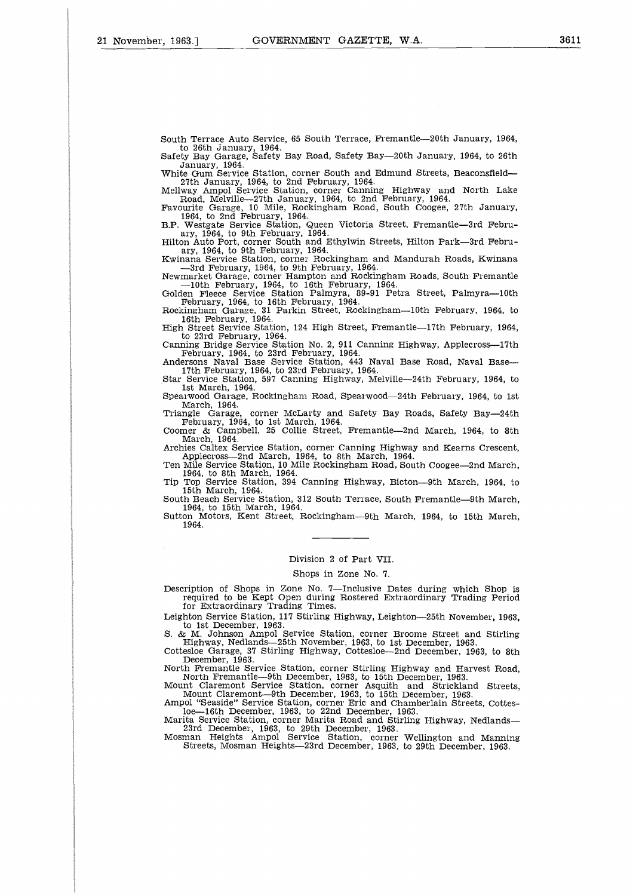South Terrace Auto Service, 65 South Terrace, Fremantle-20th January, 1964,

to 26th January, 1964. Safety Bay Garage, Safety Bay Road, Safety Bay-20th January, 1964, to 26th

January, 1964. White Gum Service Station, corner South and Edmund Streets, Beaconsfield-27th January, 1964, to 2nd February, 1964. Mellway Ampol Service Station, corner Canning Highway and North Lake

Road, Melville—27th January, 1964, to 2nd February, 1964.<br>Favourite Garage, 10 Mile, Rockingham Road, South Coogee, 27th January<br>1964, to 2nd February, 1964.<br>B.P. Westgate Service Station, Queen Victoria Street, Fremantle—

ary, 1964, to 9th February, 1964.

Kwinana Service Station, corner Rockingham and Mandurah Roads, Kwinana —3rd February, 1964, to 9th February, 1964. Newmarket Garage, corner Hampton and Rockingham Roads, South Fremantle

—10th February, 1964, to 16th February, 1964.<br>Golden Fleece Service Station Palmyra, 89-91 Petra Street, Palmyra—10th<br>February, 1964, to 16th February, 1964.<br>Rockingham Garage, 31 Parkin Street, Rockingham—10th February, 1

16th February, 1964. High Street Service Station, 124 High Street, Fremantle-17th February, 1964,

to 23rd February, 1964.<br>Canning Bridge Service Station No. 2, 911 Canning Highway, Applecross—17th<br>February, 1964, to 23rd February, 1964.<br>Andersons Naval Base Service Station, 443 Naval Base Road, Naval Base—<br>17th Februar

1st March, 1964

Spearwood Garage, Rockingham Road, Spearwood-24th February, 1964, to 1st

March, 1964. Triangle Garage, corner McLarty and Safety Bay Roads, Safety Bay-24th February, 1964, to 1st March, 1964. Coomer & Campbell, 25 Collie Street, Fremantle-2nd March, 1964, to 8th March, 1964.

Archies Caltex Service Station, corner Canning Highway and Kearns Crescent,

Applecross-2nd March, 1964, to 8th March, 1964.

Ten Mile Service Station, 10 Mile Rockingham Road, South Coogee-2nd March, 1964, to 8th March, 1964. Tip Top Service Station, 394 Canning Highway, Bicton-9th March, 1964, to 15th March, 1964.

South Beach Service Station, 312 South Terrace, South Fremantle-9th March, 1964, to 15th March, 1964.

Sutton Motors, Kent Street, Rockingham-9th March, 1964, to 15th March, 1964.

#### Division 2 of Part VII.

#### Shops in Zone No. 7.

Description of Shops in Zone No. 7—Inclusive Dates during which Shop is required to be Kept Open during Rostered Extraordinary Trading Period for Extraordinary Trading Times.

Leighton Service Station, 117 Stirling Highway, Leighton-25th November, 1963, to 1st December, 1963.

S. & M. Johnson Ampol Service Station, corner Broome Street and Stirling Highway, Nedlands-25th November, 1963, to 1st December, 1963. Cottesloe Garage, 37 Stirling Highway, Cottesloe-2nd December, 1963, to 8th

December, 1963.

North Fremantle Service Station, corner Stirling Highway and Harvest Road, North Fremantle-9th December, 1963, to 15th December, 1963. Mount Claremont Service Station, corner Asquith and Strickland Streets, Mount Claremont-9th December, 1963, to 15th December, 1963.

Ampol "Seaside" Service Station, corner Eric and Chamberlain Streets, Cottes-loe-16th December, 1963, to 22nd December, 1963.

Marita Service Station, corner Marita Road and Stirling Highway, Nedlands-

23rd December, 1963, to 29th December, 1963. Mosman Heights Ampol Service Station, corner Wellington and Manning Streets, Mosman Heights-23rd December, 1963, to 29th December, 1963.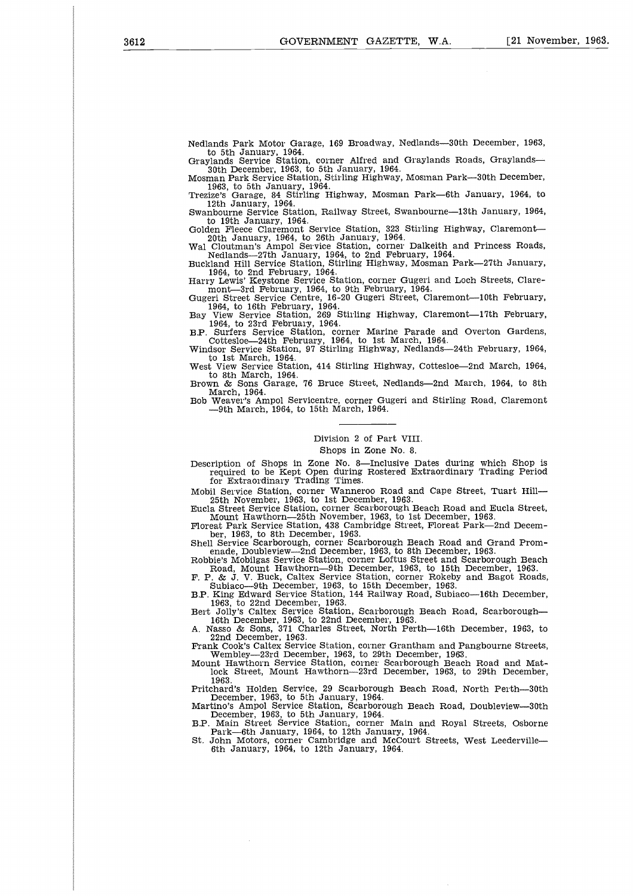Nedlands Park Motor Garage, 169 Broadway, Nedlands-30th December, 1963, to 5th January, 1964. Graylands Service Station, corner Alfred and Graylands Roads, Graylands-

30th December, 1963, to 5th January, 1964.

Mosman Park Service Station, Stirling Highway, Mosman Park-30th December, 1963, to 5th January, 1964. Trezize's Garage, 84 Stirling Highway, Mosman Park-6th January, 1964, to

12th January, 1964. Swanbourne Service Station, Railway Street, Swanbourne-13th January, 1964,

to 19th January, 1964. Golden Fleece Claremont Service Station, 323 Stirling Highway, Claremont-

20th January, 1964, to 26th January, 1964. Wal Cloutman's Ampol Service Station, corner Dalkeith and Princess Roads,

Nedlands-27th January, 1964, to 2nd February, 1964. Buckland Hill Service Station, Stirling Highway, Mosman Park-27th January,

1964, to 2nd February, 1964. Harry Lewis' Keystone Service Station, corner Gugeri and Loch Streets, Clare-mont-3rd February, 1964, to 9th February, 1964.

Gugeri Street Service Centre, 16-20 Gugeri Street, Claremont-10th February, 1964, to 16th February, 1964. Bay View Service Station, 269 Stirling Highway, Claremont-17th February,

1964, to 23rd February, 1964. B.P. Surfers Service Station, corner Marine Parade and Overton Gardens,

Cottesloe-24th February, 1964, to 1st March, 1964. Windsor Service Station, 97 Stirling Highway, Nedlands-24th February, 1964,

to 1st March, 1964. West View Service Station, 414 Stirling Highway, Cottesloe-2nd March, 1964, to 8th March, 1964.

Brown & Sons Garage, 76 Bruce Street, Nedlands-2nd March, 1964, to 8th  $March$ , 1964.

Bob Weaver's Ampol Servicentre, corner Gugeri and Stirling Road, Claremont —9th March, 1964, to 15th March, 1964.

## Division 2 of Part VIII.

Shops in Zone No. 8.

Description of Shops in Zone No. 8—Inclusive Dates during which Shop is required to be Kept Open during Rostered Extraordinary Trading Period for Extraordinary Trading Times.

Mobil Service Station, corner Wanneroo Road and Cape Street, Tuart Hill-25th November, 1963, to 1st December, 1963. Eucla Street Service Station, corner Scarborough Beach Road and Eucla Street,

Mount Hawthorn-25th November, 1963, to 1st December, 1963. Floreat Park Service Station, 438 Cambridge Street, Floreat Park-2nd Decem-

ber, 1963, to 8th December, 1963. Shell Service Scarborough, corner Scarborough Beach Road and Grand Prom-

enade, Doubleview—2nd December, 1963, to 8th December, 1963.<br>Robbie's Mobilgas Service Station, corner Loftus Street and Scarborough Beach<br>Road, Mount Hawthorn—9th December, 1963, to 15th December, 1963.<br>F. P. & J. V. Buck

Subiaco-9th December, 1963, to 15th December, 1963. B.P. King Edward Service Station, 144 Railway Road, Subiaco-16th December,

1963, to 22nd December, 1963. Bert Jolly's Caltex Service Station, Scarborough Beach Road, Scarborough-16th December, 1963, to 22nd December, 1963. A. Nasso & Sons, 371 Charles Street, North Perth-16th December, 1963, to

22nd December, 1963. Frank Cook's Caltex Service Station, corner Grantham and Pangbourne Streets,

Wembley-23rd December, 1963, to 29th December, 1963. Mount Hawthorn Service Station, corner Scarborough Beach Road and Mat-lock Street, Mount Hawthorn-23rd December, 1963, to 29th December, 1963.

Pritchard's Holden Service, 29 Scarborough Beach Road, North Perth-30th December, 1963, to 5th January, 1964.

Martino's Ampol Service Station, Scarborough Beach Road, Doubleview-30th

December, 1963, to 5th January, 1964.<br>B.P. Main Street Service Station, corner Main and Royal Streets, Osborne<br>Park—6th January, 1964, to 12th January, 1964.<br>St. John Motors, corner Cambridge and McCourt Streets, West Leed

6th January, 1964, to 12th January, 1964.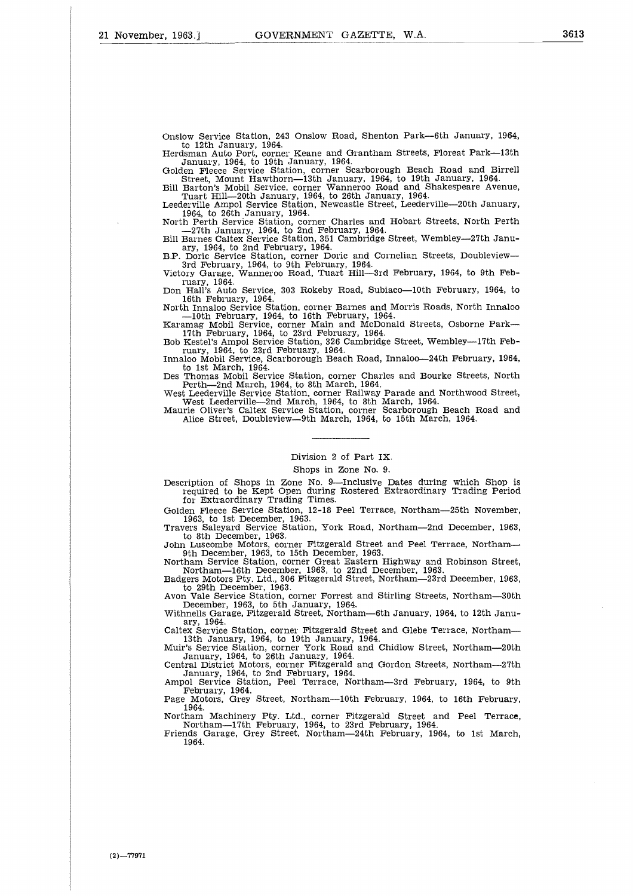Onslow Service Station, 243 Onslow Road, Shenton Park-6th January, 1964, to 12th January, 1964. Herdsman Auto Port, corner Keane and Grantham Streets, Floreat Park-13th

January, 1964, to 19th January, 1964. Golden Fleece Service Station, corner Scarborough Beach Road and Birrell

Street, Mount Hawthorn-13th January, 1964, to 19th January, 1964. Bill Barton's Mobil Service, corner Wanneroo Road and Shakespeare Avenue,

Tuart Hill-20th January, 1964, to 26th January, 1964. Leederville Ampol Service Station, Newcastle Street, Leederville-20th January,

1964, to 26th January, 1964. North Perth Service Station, corner Charles and Hobart Streets, North Perth

— 27th January, 1964, to 2nd February, 1964. Bill Barnes Caltex Service Station, 351 Cambridge Street, Wembley-27th January, 1964, to 2nd February, 1964.

B.P. Doric Service Station, corner Doric and Cornelian Streets, Doubleview-3rd February, 1964, to 9th February, 1964. Victory Garage, Wanneroo Road, Tuart Hill-3rd February, 1964, to 9th Feb-

ruary, 1964. Don Hall's Auto Service, 303 Rokeby Road, Subiaco-10th February, 1964, to

16th February, 1964.

North Innaloo Service Station, corner Barnes and Morris Roads, North Innaloo — 10th February, 1964, to 16th February, 1964. Karamag Mobil Service, corner Main and McDonald Streets, Osborne Park-

17th February, 1964, to 23rd February, 1964. Bob Kestel's Ampol Service Station, 326 Cambridge Street, Wembley-17th Feb-

ruary, 1964, to 23rd February, 1964. Innaloo Mobil Service, Scarborough Beach Road, Innaloo-24th February, 1964,

to 1st March, 1964.

Des Thomas Mobil Service Station, corner Charles and Bourke Streets, North Perth-2nd March, 1964, to 8th March, 1964.

West Leederville Service Station, corner Railway Parade and Northwood Street<br>West Leederville—2nd March, 1964, to 8th March, 1964.

Maurie Oliver's Caltex Service Station, corner Scarborough Beach Road and Alice Street, Doubleview-9th March, 1964, to 15th March, 1964.

## Division 2 of Part IX.

## Shops in Zone No. 9.

Description of Shops in Zone No. 9—Inclusive Dates during which Shop is required to be Kept Open during Rostered Extraordinary Trading Period for Extraordinary Trading Times.

Golden Fleece Service Station, 12-18 Peel Terrace, Northam-25th November, 1963, to 1st December, 1963. Travers Saleyard Service Station, York Road, Northam-2nd December, 1963,

to 8th December, 1963.<br>John Luscombe Motors, corner Fitzgerald Street and Peel Terrace, Northam—<br>9th December, 1963. to 15th December, 1963.<br>Northam Service Station, corner Great Eastern Highway and Robinson Street,<br>Northa

Badgers Motors Pty. Ltd., 306 Fitzgerald Street, Northam-23rd December, 1963,

to 29th December, 1963. Avon Vale Service Station, corner Forrest and Stirling Streets, Northam-30th

December, 1963, to 5th January, 1964. Withnells Garage, Fitzgerald Street, Northam-6th January, 1964, to 12th Janu-

ary, 1964. Caltex Service Station, corner Fitzgerald Street and Glebe Terrace, Northam-

13th January, 1964, to 19th January, 1964.<br>Muir's Service Station, corner York Road and Chidlow Street, Northam—20th<br>January, 1964, to 26th January, 1964.<br>Central District Motors, corner Fitzgerald and Gordon Streets, Nort

January, 1964, to 2nd February, 1964.

Ampol Service Station, Peel Terrace, Northam—3rd February, 1964, to 9th<br>February, 1964.<br>Page Motors, Grey Street, Northam—10th February, 1964, to 16th February,

1964.

Northam Machinery Pty. Ltd., corner Fitzgerald Street and Peel Terrace, Northam-17th February, 1964, to 23rd February, 1964. Friends Garage, Grey Street, Northam-24th February, 1964, to 1st March,

1964.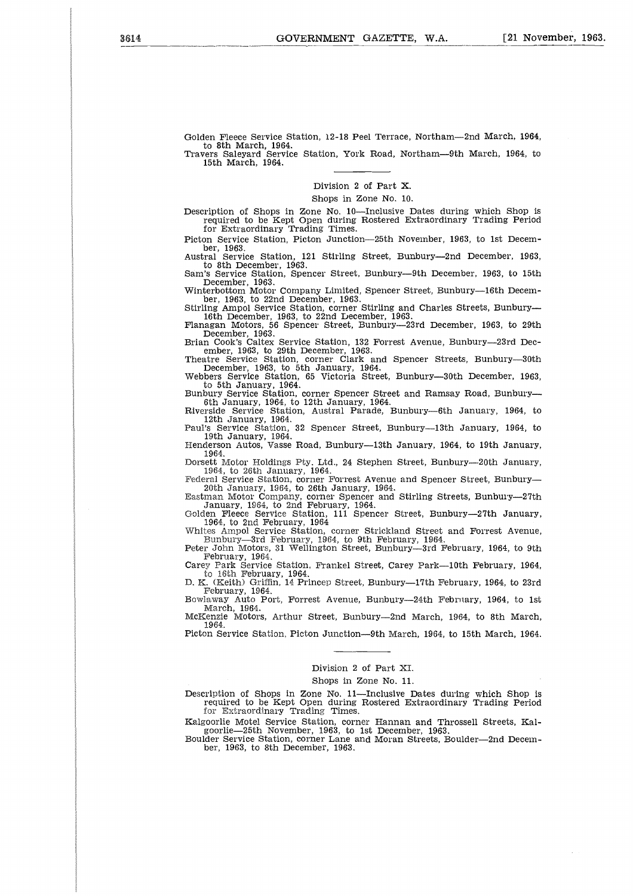Golden Fleece Service Station, 12-18 Peel Terrace, Northam--2nd March, 1964, to 8th March, 1964. Travers Saleyard Service Station, York Road, Northam-9th March, 1964, to

15th March, 1964.

## Division 2 of Part X.

Shops in Zone No. 10.

Description of Shops in Zone No. 10—Inclusive Dates during which Shop is required to be Kept Open during Rostered Extraordinary Trading Period for Extraordinary Trading Times.

Picton Service Station, Picton Junction-25th November, 1963, to 1st Decem-

ber, 1963. Austral Service Station, 121 Stirling Street, Bunbury-2nd December, 1963, to 8th December, 1963.

Sam's Service Station, Spencer Street, Bunbury-9th December, 1963, to 15th

December, 1963. Winterbottom Motor Company Limited, Spencer Street, Bunbury-16th December, 1963, to 22nd December, 1963. Stirling Ampol Service Station, corner Stirling and Charles Streets, Bunbury-

16th December, 1963, to 22nd December, 1963. Flanagan Motors, 56 Spencer Street, Bunbury-23rd December, 1963, to 29th

December, 1963. Brian Cook's Caltex Service Station, 132 Forrest Avenue, Bunbury-23rd Dec-

ember, 1963, to 29th December, 1963. Theatre Service Station, corner Clark and Spencer Streets, Bunbury-30th December, 1963, to 5th January, 1964. Webbers Service Station, 65 Victoria Street, Bunbury-30th December, 1963,

to 5th January, 1964.

Bunbury Service Station, corner Spencer Street and Ramsay Road, Bunbury-6th January, 1964, to 12th January, 1964. Riverside Service Station, Austral Parade, Bunbury-6th January, 1964, to 12th January, 1964.

Paul's Service Station, 32 Spencer Street, Bunbury-13th January, 1964, to

19th January, 1964. Henderson Autos, Vasse Road, Bunbury-13th January, 1964, to 19th January,

1964. Dorsett Motor Holdings Pty. Ltd., 24 Stephen Street, Bunbury-20th January,

1964, to 26th January, 1964.

Federal Service Station, corner Forrest Avenue and Spencer Street, Bunbury—20th January, 1964, to 26th January, 1964<br>Eastman Motor Company, corner Spencer and Stirling Streets, Bunbury—27th<br>Eastman Motor Company, 1964.<br>Jan

Whites Ampol Service Station, corner Strickland Street and Forrest Avenue, Bunbury-3rd February, 1964, to 9th February, 1964. Peter John Motors, 31 Wellington Street, Bunbury-3rd February, 1964, to 9th

February, 1964. Carey Park Service Station, Frankel Street, Carey Park-10th February, 1964,

to 16th February, 1964.

D. K. (Keith) Griffin, 14 Princep Street, Bunbury-17th February, 1964, to 23rd February, 1964. Bowlaway Auto Port, Forrest Avenue, Bunbury-24th February, 1964, to 1st March, 1964.

McKenzie Motors, Arthur Street, Bunbury-2nd March, 1964, to 8th March, 1964.

Picton Service Station, Picton Junction-9th March, 1964, to 15th March, 1964.

#### Division 2 of Part XI.

### Shops in Zone No. 11.

Description of Shops in Zone No. 11—Inclusive Dates during which Shop is required to be Kept Open during Rostered Extraordinary Trading Period for Extraordinary Trading Times.

Kalgoorlie Motel Service Station, corner Hannan and Throssell Streets, Kalgoorlie-25th November, 1963, to 1st December, 1963.

Boulder Service Station, corner Lane and Moran Streets, Boulder-2nd December, 1963, to 8th December, 1963.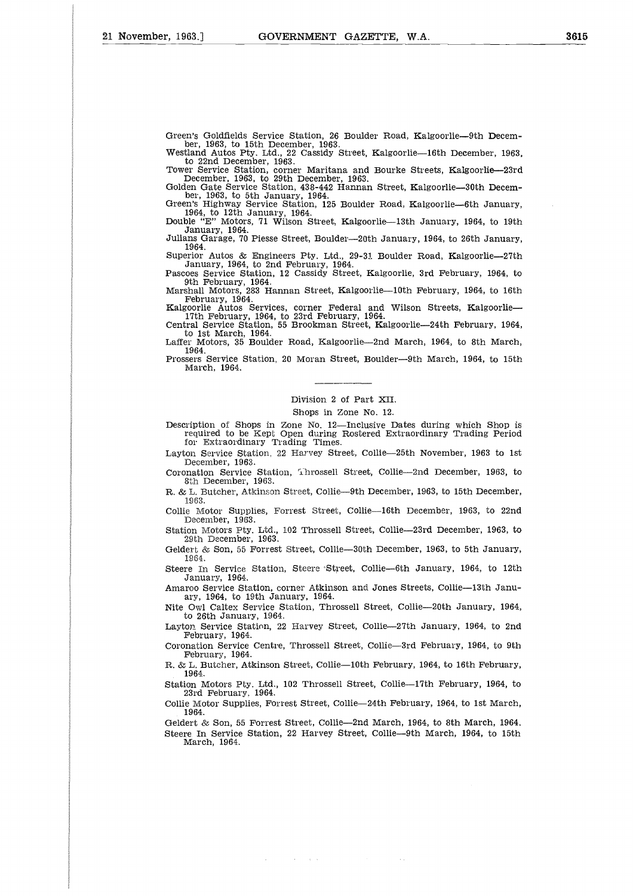Green's Goldfields Service Station, 26 Boulder Road, Kalgoorlie-9th December, 1963, to 15th December, 1963. Westland Autos Pty. Ltd., 22 Cassidy Street, Kalgoorlie-16th December, 1963,

to 22nd December, 1963.<br>
Tower Service Station, corner Maritana and Bourke Streets, Kalgoorlie—23rd<br>
December, 1963, to 29th December, 1963.<br>
Golden Gate Service Station, 438-442 Hannan Street, Kalgoorlie—30th December, 19

January, 1964.

Julians Garage, 70 Piesse Street, Boulder-20th January, 1964, to 26th January, 1964.

Superior Autos & Engineers Pty. Ltd., 29-31 Boulder Road, Kalgoorlie-27th January, 1964, to 2nd February, 1964. Pascoes Service Station, 12 Cassidy Street, Kalgoorlie, 3rd February, 1964, to

9th February, 1964. Marshall Motors, 283 Hannan Street, Kalgoorlie-10th February, 1964, to 16th

February, 1964. Kalgoorlie Autos Services, corner Federal and Wilson Streets, Kalgoorlie-17th February, 1964, to 23rd February, 1964. Central Service Station, 55 Brookman Street, Kalgoorlie-24th February, 1964,

to 1st March, 1964.

Laffer Motors, 35 Boulder Road, Kalgoorlie-2nd March, 1964, to 8th March, 1964. Prossers Service Station, 20 Moran Street, Boulder-9th March, 1964, to 15th

March, 1964.

## Division 2 of Part XII.

Shops in Zone No. 12.

Description of Shops in Zone No. 12—Inclusive Dates during which Shop is required to be Kept Open during Rostered Extraordinary Trading Period for Extraordinary Trading Times.

Layton Service Station, 22 Harvey Street, Collie-25th November, 1963 to 1st December, 1963.

Coronation Service Station, Ihrossell Street, Collie-2nd December, 1963, to 8th December, 1963.

R. & L. Butcher, Atkinson Street, Collie--9th December, 1963, to 15th December, 1963.

Collie Motor Supplies, Forrest Street, Collie-16th December, 1963, to 22nd December, 1963.

Station Motors Pty. Ltd., 102 Throssell Street, Collie-23rd December, 1963, to 29th December, 1963.

Geldert & Son, 55 Forrest Street, Collie-30th December, 1963, to 5th January, 1964.

Steere In Service Station, Steere 'Street, Collie-6th January, 1964, to 12th January, 1964.

Amaroo Service Station, corner Atkinson and Jones Streets, Collie-13th January, 1964, to 19th January, 1964.

Nite Owl Caltex Service Station, Throssell Street, Collie-20th January, 1964, to 26th January, 1964.

Layton Service Station, 22 Harvey Street, Collie-27th January, 1964, to 2nd February, 1964.

Coronation Service Centre, Throssell Street, Collie-3rd February, 1964, to 9th February, 1964.

R. & L. Butcher, Atkinson Street, Collie-10th February, 1964, to 16th February,  $1964.$ 

Station Motors Pty. Ltd., 102 Throssell Street, Collie-17th February, 1964, to 23rd February. 1964.

Collie Motor Supplies, Forrest Street, Collie-24th February, 1964, to 1st March, 1964.

Geldert & Son, 55 Forrest Street, Collie-2nd March, 1964, to 8th March, 1964. Steere In Service Station, 22 Harvey Street, Collie-9th March, 1964, to 15th March, 1964.